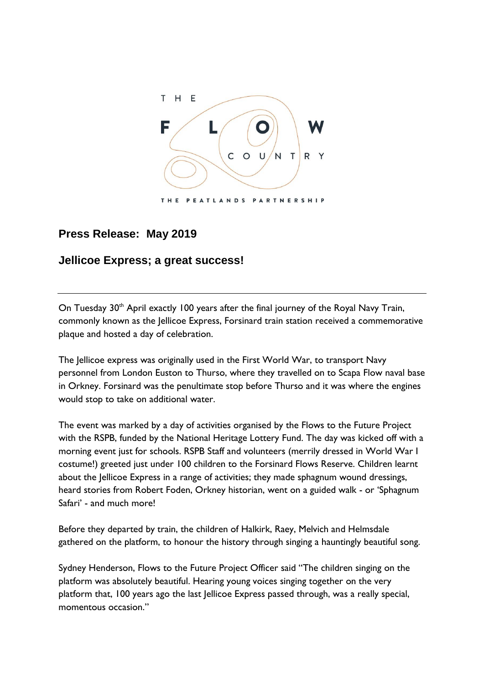

## **Press Release: May 2019**

## **Jellicoe Express; a great success!**

On Tuesday 30<sup>th</sup> April exactly 100 years after the final journey of the Royal Navy Train, commonly known as the Jellicoe Express, Forsinard train station received a commemorative plaque and hosted a day of celebration.

The Jellicoe express was originally used in the First World War, to transport Navy personnel from London Euston to Thurso, where they travelled on to Scapa Flow naval base in Orkney. Forsinard was the penultimate stop before Thurso and it was where the engines would stop to take on additional water.

The event was marked by a day of activities organised by the Flows to the Future Project with the RSPB, funded by the National Heritage Lottery Fund. The day was kicked off with a morning event just for schools. RSPB Staff and volunteers (merrily dressed in World War I costume!) greeted just under 100 children to the Forsinard Flows Reserve. Children learnt about the Jellicoe Express in a range of activities; they made sphagnum wound dressings, heard stories from Robert Foden, Orkney historian, went on a guided walk - or 'Sphagnum Safari' - and much more!

Before they departed by train, the children of Halkirk, Raey, Melvich and Helmsdale gathered on the platform, to honour the history through singing a hauntingly beautiful song.

Sydney Henderson, Flows to the Future Project Officer said "The children singing on the platform was absolutely beautiful. Hearing young voices singing together on the very platform that, 100 years ago the last Jellicoe Express passed through, was a really special, momentous occasion."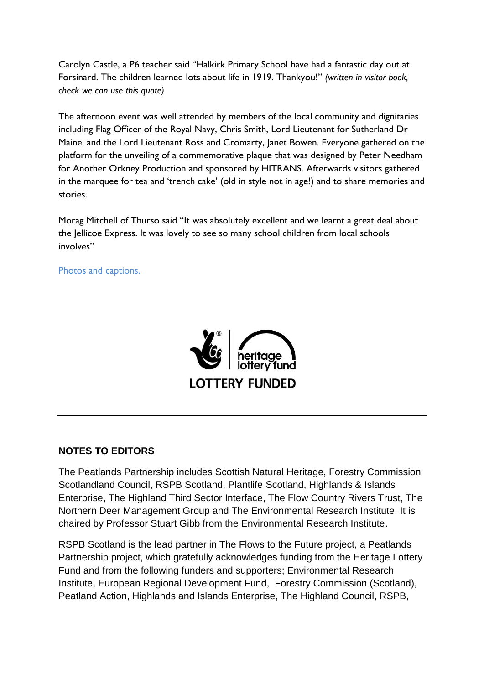Carolyn Castle, a P6 teacher said "Halkirk Primary School have had a fantastic day out at Forsinard. The children learned lots about life in 1919. Thankyou!" *(written in visitor book, check we can use this quote)*

The afternoon event was well attended by members of the local community and dignitaries including Flag Officer of the Royal Navy, Chris Smith, Lord Lieutenant for Sutherland Dr Maine, and the Lord Lieutenant Ross and Cromarty, Janet Bowen. Everyone gathered on the platform for the unveiling of a commemorative plaque that was designed by Peter Needham for Another Orkney Production and sponsored by HITRANS. Afterwards visitors gathered in the marquee for tea and 'trench cake' (old in style not in age!) and to share memories and stories.

Morag Mitchell of Thurso said "It was absolutely excellent and we learnt a great deal about the Jellicoe Express. It was lovely to see so many school children from local schools involves"

Photos and captions.



## **NOTES TO EDITORS**

The Peatlands Partnership includes Scottish Natural Heritage, Forestry Commission Scotlandland Council, RSPB Scotland, Plantlife Scotland, Highlands & Islands Enterprise, The Highland Third Sector Interface, The Flow Country Rivers Trust, The Northern Deer Management Group and The Environmental Research Institute. It is chaired by Professor Stuart Gibb from the Environmental Research Institute.

RSPB Scotland is the lead partner in The Flows to the Future project, a Peatlands Partnership project, which gratefully acknowledges funding from the Heritage Lottery Fund and from the following funders and supporters; Environmental Research Institute, European Regional Development Fund, Forestry Commission (Scotland), Peatland Action, Highlands and Islands Enterprise, The Highland Council, RSPB,